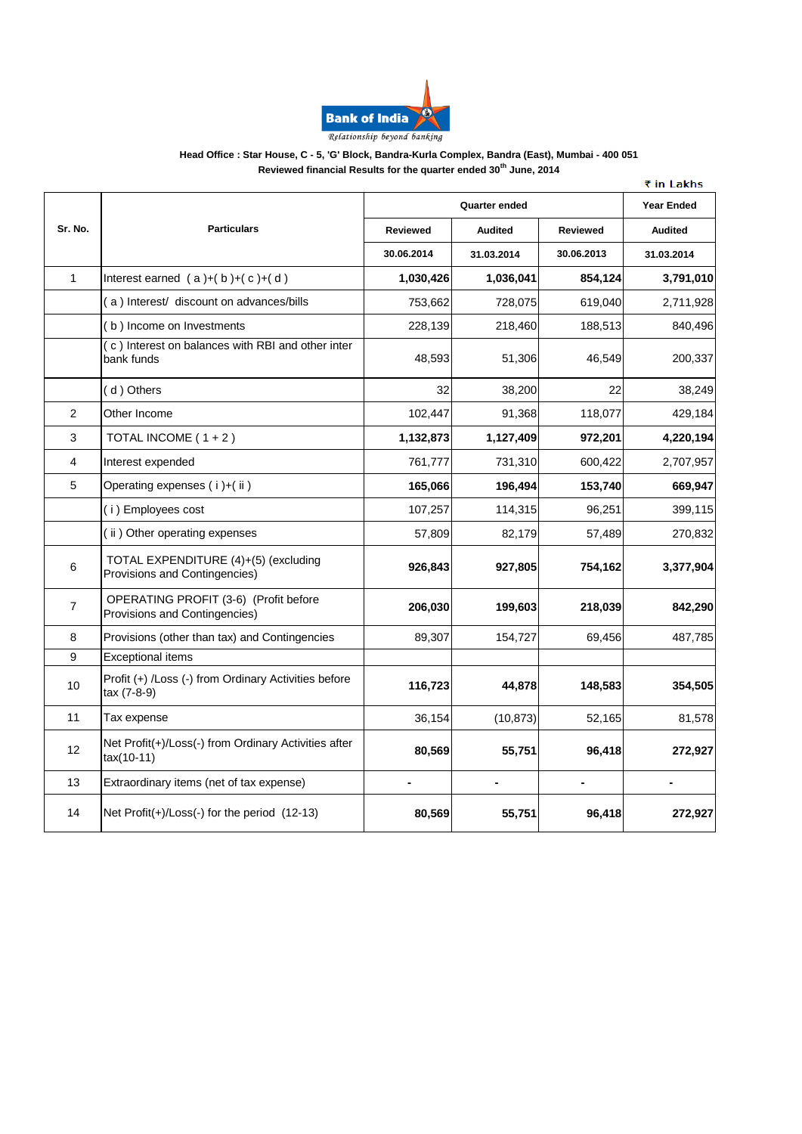

### **Head Office : Star House, C - 5, 'G' Block, Bandra-Kurla Complex, Bandra (East), Mumbai - 400 051 Reviewed financial Results for the quarter ended 30th June, 2014**

|                |                                                                        | cu illiancial Results for the quarter ended Jo |                |                 | ₹ in Lakhs        |
|----------------|------------------------------------------------------------------------|------------------------------------------------|----------------|-----------------|-------------------|
|                |                                                                        | <b>Quarter ended</b>                           |                |                 | <b>Year Ended</b> |
| Sr. No.        | <b>Particulars</b>                                                     | <b>Reviewed</b>                                | <b>Audited</b> | <b>Reviewed</b> | <b>Audited</b>    |
|                |                                                                        | 30.06.2014                                     | 31.03.2014     | 30.06.2013      | 31.03.2014        |
| $\mathbf{1}$   | Interest earned $(a)+(b)+(c)+(d)$                                      | 1,030,426                                      | 1.036.041      | 854,124         | 3,791,010         |
|                | (a) Interest/ discount on advances/bills                               | 753,662                                        | 728,075        | 619,040         | 2,711,928         |
|                | (b) Income on Investments                                              | 228,139                                        | 218,460        | 188,513         | 840,496           |
|                | (c) Interest on balances with RBI and other inter<br>bank funds        | 48,593                                         | 51,306         | 46,549          | 200,337           |
|                | (d) Others                                                             | 32                                             | 38,200         | 22              | 38,249            |
| 2              | Other Income                                                           | 102,447                                        | 91,368         | 118,077         | 429,184           |
| 3              | TOTAL INCOME (1+2)                                                     | 1,132,873                                      | 1,127,409      | 972,201         | 4,220,194         |
| 4              | Interest expended                                                      | 761,777                                        | 731,310        | 600,422         | 2,707,957         |
| 5              | Operating expenses (i)+(ii)                                            | 165,066                                        | 196,494        | 153,740         | 669,947           |
|                | (i) Employees cost                                                     | 107,257                                        | 114,315        | 96,251          | 399,115           |
|                | (ii) Other operating expenses                                          | 57,809                                         | 82,179         | 57,489          | 270,832           |
| 6              | TOTAL EXPENDITURE (4)+(5) (excluding<br>Provisions and Contingencies)  | 926,843                                        | 927,805        | 754,162         | 3,377,904         |
| $\overline{7}$ | OPERATING PROFIT (3-6) (Profit before<br>Provisions and Contingencies) | 206,030                                        | 199,603        | 218,039         | 842,290           |
| 8              | Provisions (other than tax) and Contingencies                          | 89,307                                         | 154,727        | 69,456          | 487,785           |
| 9              | <b>Exceptional items</b>                                               |                                                |                |                 |                   |
| 10             | Profit (+) /Loss (-) from Ordinary Activities before<br>tax (7-8-9)    | 116,723                                        | 44,878         | 148,583         | 354,505           |
| 11             | Tax expense                                                            | 36,154                                         | (10, 873)      | 52,165          | 81,578            |
| 12             | Net Profit(+)/Loss(-) from Ordinary Activities after<br>$tax(10-11)$   | 80,569                                         | 55,751         | 96,418          | 272,927           |
| 13             | Extraordinary items (net of tax expense)                               | $\blacksquare$                                 |                |                 |                   |
| 14             | Net Profit(+)/Loss(-) for the period (12-13)                           | 80,569                                         | 55,751         | 96,418          | 272,927           |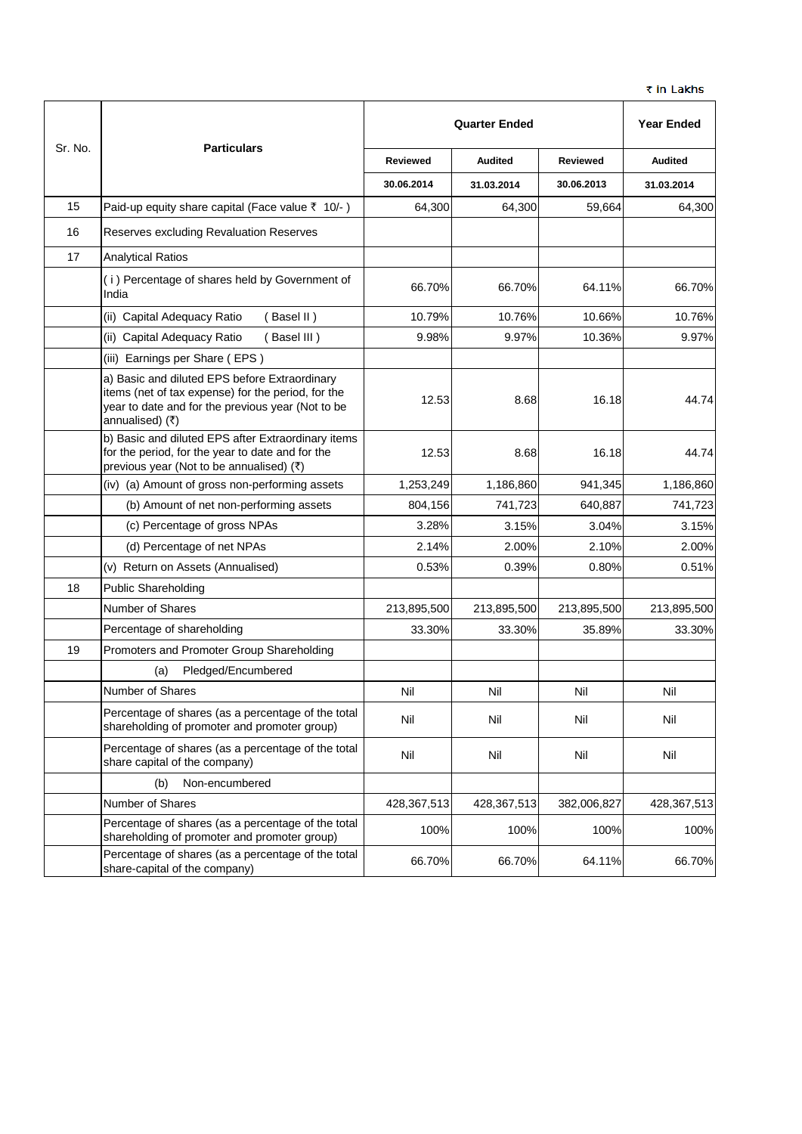|         |                                                                                                                                                                             | <b>Quarter Ended</b> |                |                 | <b>Year Ended</b> |
|---------|-----------------------------------------------------------------------------------------------------------------------------------------------------------------------------|----------------------|----------------|-----------------|-------------------|
| Sr. No. | <b>Particulars</b>                                                                                                                                                          | <b>Reviewed</b>      | <b>Audited</b> | <b>Reviewed</b> | <b>Audited</b>    |
|         |                                                                                                                                                                             | 30.06.2014           | 31.03.2014     | 30.06.2013      | 31.03.2014        |
| 15      | Paid-up equity share capital (Face value ₹ 10/-)                                                                                                                            | 64,300               | 64,300         | 59,664          | 64,300            |
| 16      | Reserves excluding Revaluation Reserves                                                                                                                                     |                      |                |                 |                   |
| 17      | <b>Analytical Ratios</b>                                                                                                                                                    |                      |                |                 |                   |
|         | (i) Percentage of shares held by Government of<br>India                                                                                                                     | 66.70%               | 66.70%         | 64.11%          | 66.70%            |
|         | (ii) Capital Adequacy Ratio<br>(Basel II)                                                                                                                                   | 10.79%               | 10.76%         | 10.66%          | 10.76%            |
|         | (ii) Capital Adequacy Ratio<br>(Basel III)                                                                                                                                  | 9.98%                | 9.97%          | 10.36%          | 9.97%             |
|         | (iii) Earnings per Share (EPS)                                                                                                                                              |                      |                |                 |                   |
|         | a) Basic and diluted EPS before Extraordinary<br>items (net of tax expense) for the period, for the<br>year to date and for the previous year (Not to be<br>annualised) (₹) | 12.53                | 8.68           | 16.18           | 44.74             |
|         | b) Basic and diluted EPS after Extraordinary items<br>for the period, for the year to date and for the<br>previous year (Not to be annualised) (₹)                          | 12.53                | 8.68           | 16.18           | 44.74             |
|         | (iv) (a) Amount of gross non-performing assets                                                                                                                              | 1,253,249            | 1,186,860      | 941,345         | 1,186,860         |
|         | (b) Amount of net non-performing assets                                                                                                                                     | 804,156              | 741,723        | 640,887         | 741,723           |
|         | (c) Percentage of gross NPAs                                                                                                                                                | 3.28%                | 3.15%          | 3.04%           | 3.15%             |
|         | (d) Percentage of net NPAs                                                                                                                                                  | 2.14%                | 2.00%          | 2.10%           | 2.00%             |
|         | (v) Return on Assets (Annualised)                                                                                                                                           | 0.53%                | 0.39%          | 0.80%           | 0.51%             |
| 18      | <b>Public Shareholding</b>                                                                                                                                                  |                      |                |                 |                   |
|         | Number of Shares                                                                                                                                                            | 213,895,500          | 213,895,500    | 213,895,500     | 213,895,500       |
|         | Percentage of shareholding                                                                                                                                                  | 33.30%               | 33.30%         | 35.89%          | 33.30%            |
| 19      | Promoters and Promoter Group Shareholding                                                                                                                                   |                      |                |                 |                   |
|         | Pledged/Encumbered<br>(a)                                                                                                                                                   |                      |                |                 |                   |
|         | Number of Shares                                                                                                                                                            | Nil                  | Nil            | Nil             | Nil               |
|         | Percentage of shares (as a percentage of the total<br>shareholding of promoter and promoter group)                                                                          | Nil                  | Nil            | Nil             | Nil               |
|         | Percentage of shares (as a percentage of the total<br>share capital of the company)                                                                                         | Nil                  | Nil            | Nil             | Nil               |
|         | (b)<br>Non-encumbered                                                                                                                                                       |                      |                |                 |                   |
|         | Number of Shares                                                                                                                                                            | 428,367,513          | 428,367,513    | 382,006,827     | 428,367,513       |
|         | Percentage of shares (as a percentage of the total<br>shareholding of promoter and promoter group)                                                                          | 100%                 | 100%           | 100%            | 100%              |
|         | Percentage of shares (as a percentage of the total<br>share-capital of the company)                                                                                         | 66.70%               | 66.70%         | 64.11%          | 66.70%            |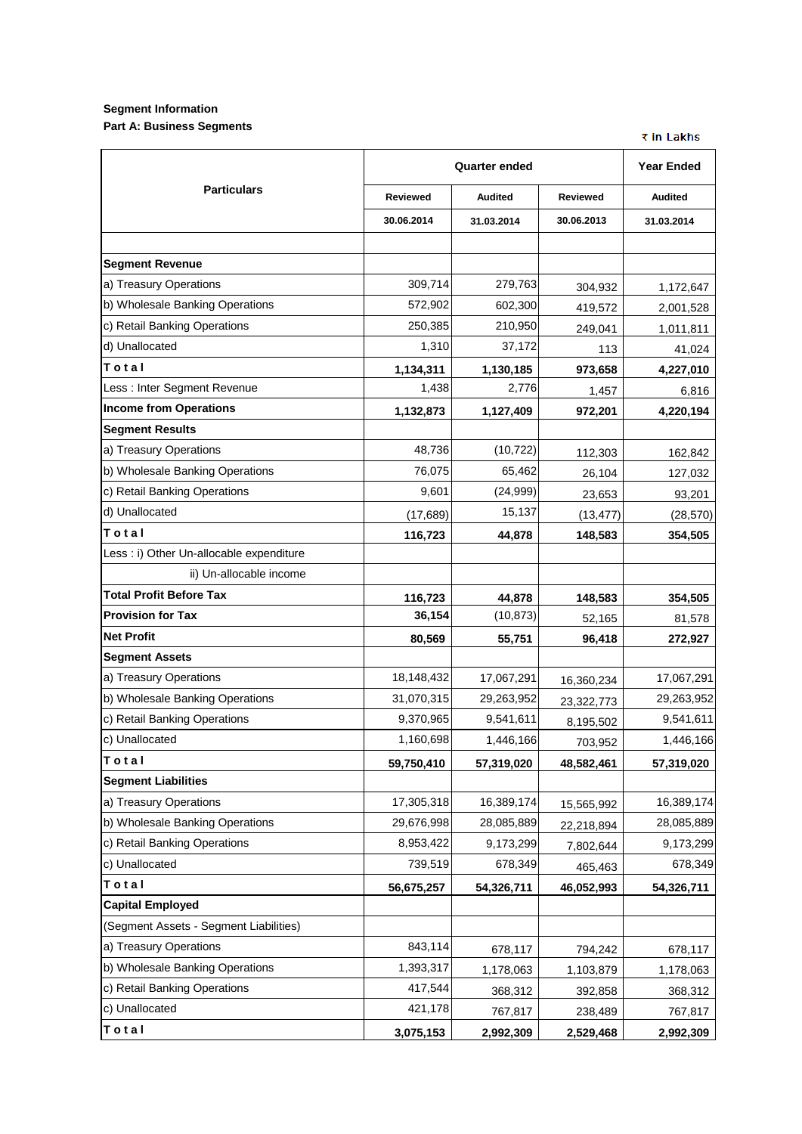## **Segment Information Part A: Business Segments**

₹ in Lakhs

|                                          | <b>Quarter ended</b> | <b>Year Ended</b> |                 |                |
|------------------------------------------|----------------------|-------------------|-----------------|----------------|
| <b>Particulars</b>                       | <b>Reviewed</b>      | <b>Audited</b>    | <b>Reviewed</b> | <b>Audited</b> |
|                                          | 30.06.2014           | 31.03.2014        | 30.06.2013      | 31.03.2014     |
|                                          |                      |                   |                 |                |
| <b>Segment Revenue</b>                   |                      |                   |                 |                |
| a) Treasury Operations                   | 309,714              | 279,763           | 304,932         | 1,172,647      |
| b) Wholesale Banking Operations          | 572,902              | 602,300           | 419,572         | 2,001,528      |
| c) Retail Banking Operations             | 250,385              | 210,950           | 249,041         | 1,011,811      |
| d) Unallocated                           | 1,310                | 37,172            | 113             | 41,024         |
| Total                                    | 1,134,311            | 1,130,185         | 973,658         | 4,227,010      |
| Less : Inter Segment Revenue             | 1,438                | 2,776             | 1,457           | 6,816          |
| <b>Income from Operations</b>            | 1,132,873            | 1,127,409         | 972,201         | 4,220,194      |
| <b>Segment Results</b>                   |                      |                   |                 |                |
| a) Treasury Operations                   | 48,736               | (10, 722)         | 112,303         | 162,842        |
| b) Wholesale Banking Operations          | 76,075               | 65,462            | 26,104          | 127,032        |
| c) Retail Banking Operations             | 9,601                | (24,999)          | 23,653          | 93,201         |
| d) Unallocated                           | (17, 689)            | 15,137            | (13, 477)       | (28, 570)      |
| Total                                    | 116,723              | 44,878            | 148,583         | 354,505        |
| Less : i) Other Un-allocable expenditure |                      |                   |                 |                |
| ii) Un-allocable income                  |                      |                   |                 |                |
| <b>Total Profit Before Tax</b>           | 116,723              | 44,878            | 148,583         | 354,505        |
| <b>Provision for Tax</b>                 | 36,154               | (10, 873)         | 52,165          | 81,578         |
| <b>Net Profit</b>                        | 80,569               | 55,751            | 96,418          | 272,927        |
| <b>Segment Assets</b>                    |                      |                   |                 |                |
| a) Treasury Operations                   | 18,148,432           | 17,067,291        | 16,360,234      | 17,067,291     |
| b) Wholesale Banking Operations          | 31,070,315           | 29,263,952        | 23,322,773      | 29,263,952     |
| c) Retail Banking Operations             | 9,370,965            | 9,541,611         | 8,195,502       | 9,541,611      |
| c) Unallocated                           | 1,160,698            | 1,446,166         | 703,952         | 1,446,166      |
| Total                                    | 59,750,410           | 57,319,020        | 48,582,461      | 57,319,020     |
| <b>Segment Liabilities</b>               |                      |                   |                 |                |
| a) Treasury Operations                   | 17,305,318           | 16,389,174        | 15,565,992      | 16,389,174     |
| b) Wholesale Banking Operations          | 29,676,998           | 28,085,889        | 22,218,894      | 28,085,889     |
| c) Retail Banking Operations             | 8,953,422            | 9,173,299         | 7,802,644       | 9,173,299      |
| c) Unallocated                           | 739,519              | 678,349           | 465,463         | 678,349        |
| Total                                    | 56,675,257           | 54,326,711        | 46,052,993      | 54,326,711     |
| <b>Capital Employed</b>                  |                      |                   |                 |                |
| (Segment Assets - Segment Liabilities)   |                      |                   |                 |                |
| a) Treasury Operations                   | 843,114              | 678,117           | 794,242         | 678,117        |
| b) Wholesale Banking Operations          | 1,393,317            | 1,178,063         | 1,103,879       | 1,178,063      |
| c) Retail Banking Operations             | 417,544              | 368,312           | 392,858         | 368,312        |
| c) Unallocated                           | 421,178              | 767,817           | 238,489         | 767,817        |
| Total                                    | 3,075,153            | 2,992,309         | 2,529,468       | 2,992,309      |